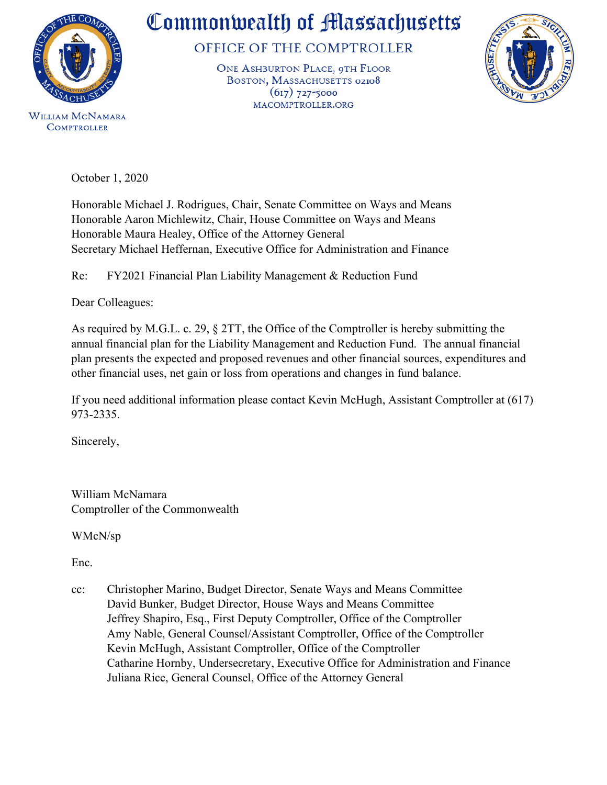

## Commonwealth of Massachusetts

OFFICE OF THE COMPTROLLER

ONE ASHBURTON PLACE, 9TH FLOOR BOSTON, MASSACHUSETTS 02108  $(617)$  727-5000 MACOMPTROLLER.ORG



October 1, 2020

Honorable Michael J. Rodrigues, Chair, Senate Committee on Ways and Means Honorable Aaron Michlewitz, Chair, House Committee on Ways and Means Honorable Maura Healey, Office of the Attorney General Secretary Michael Heffernan, Executive Office for Administration and Finance

Re: FY2021 Financial Plan Liability Management & Reduction Fund

Dear Colleagues:

As required by M.G.L. c. 29, § 2TT, the Office of the Comptroller is hereby submitting the annual financial plan for the Liability Management and Reduction Fund. The annual financial plan presents the expected and proposed revenues and other financial sources, expenditures and other financial uses, net gain or loss from operations and changes in fund balance.

If you need additional information please contact Kevin McHugh, Assistant Comptroller at (617) 973-2335.

Sincerely,

William McNamara Comptroller of the Commonwealth

WMcN/sp

Enc.

cc: Christopher Marino, Budget Director, Senate Ways and Means Committee David Bunker, Budget Director, House Ways and Means Committee Jeffrey Shapiro, Esq., First Deputy Comptroller, Office of the Comptroller Amy Nable, General Counsel/Assistant Comptroller, Office of the Comptroller Kevin McHugh, Assistant Comptroller, Office of the Comptroller Catharine Hornby, Undersecretary, Executive Office for Administration and Finance Juliana Rice, General Counsel, Office of the Attorney General